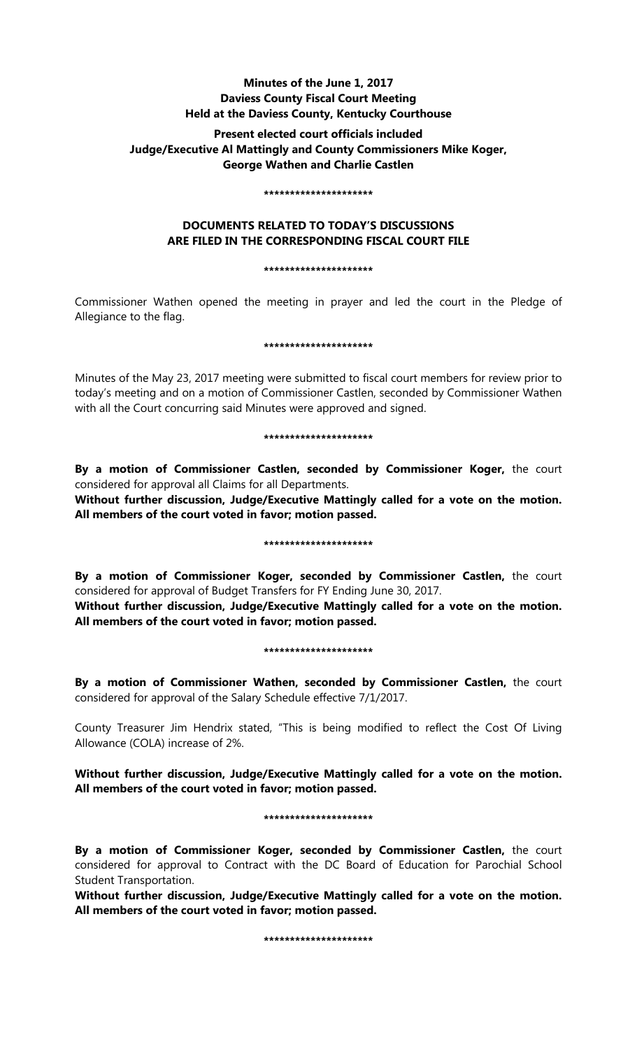# **Minutes of the June 1, 2017 Daviess County Fiscal Court Meeting Held at the Daviess County, Kentucky Courthouse**

# **Present elected court officials included Judge/Executive Al Mattingly and County Commissioners Mike Koger, George Wathen and Charlie Castlen**

#### **\*\*\*\*\*\*\*\*\*\*\*\*\*\*\*\*\*\*\*\*\***

# **DOCUMENTS RELATED TO TODAY'S DISCUSSIONS ARE FILED IN THE CORRESPONDING FISCAL COURT FILE**

### **\*\*\*\*\*\*\*\*\*\*\*\*\*\*\*\*\*\*\*\*\***

Commissioner Wathen opened the meeting in prayer and led the court in the Pledge of Allegiance to the flag.

#### **\*\*\*\*\*\*\*\*\*\*\*\*\*\*\*\*\*\*\*\*\***

Minutes of the May 23, 2017 meeting were submitted to fiscal court members for review prior to today's meeting and on a motion of Commissioner Castlen, seconded by Commissioner Wathen with all the Court concurring said Minutes were approved and signed.

### **\*\*\*\*\*\*\*\*\*\*\*\*\*\*\*\*\*\*\*\*\***

**By a motion of Commissioner Castlen, seconded by Commissioner Koger,** the court considered for approval all Claims for all Departments.

**Without further discussion, Judge/Executive Mattingly called for a vote on the motion. All members of the court voted in favor; motion passed.** 

## **\*\*\*\*\*\*\*\*\*\*\*\*\*\*\*\*\*\*\*\*\***

**By a motion of Commissioner Koger, seconded by Commissioner Castlen,** the court considered for approval of Budget Transfers for FY Ending June 30, 2017.

**Without further discussion, Judge/Executive Mattingly called for a vote on the motion. All members of the court voted in favor; motion passed.** 

## **\*\*\*\*\*\*\*\*\*\*\*\*\*\*\*\*\*\*\*\*\***

**By a motion of Commissioner Wathen, seconded by Commissioner Castlen,** the court considered for approval of the Salary Schedule effective 7/1/2017.

County Treasurer Jim Hendrix stated, "This is being modified to reflect the Cost Of Living Allowance (COLA) increase of 2%.

**Without further discussion, Judge/Executive Mattingly called for a vote on the motion. All members of the court voted in favor; motion passed.** 

### **\*\*\*\*\*\*\*\*\*\*\*\*\*\*\*\*\*\*\*\*\***

**By a motion of Commissioner Koger, seconded by Commissioner Castlen,** the court considered for approval to Contract with the DC Board of Education for Parochial School Student Transportation.

**Without further discussion, Judge/Executive Mattingly called for a vote on the motion. All members of the court voted in favor; motion passed.** 

**\*\*\*\*\*\*\*\*\*\*\*\*\*\*\*\*\*\*\*\*\***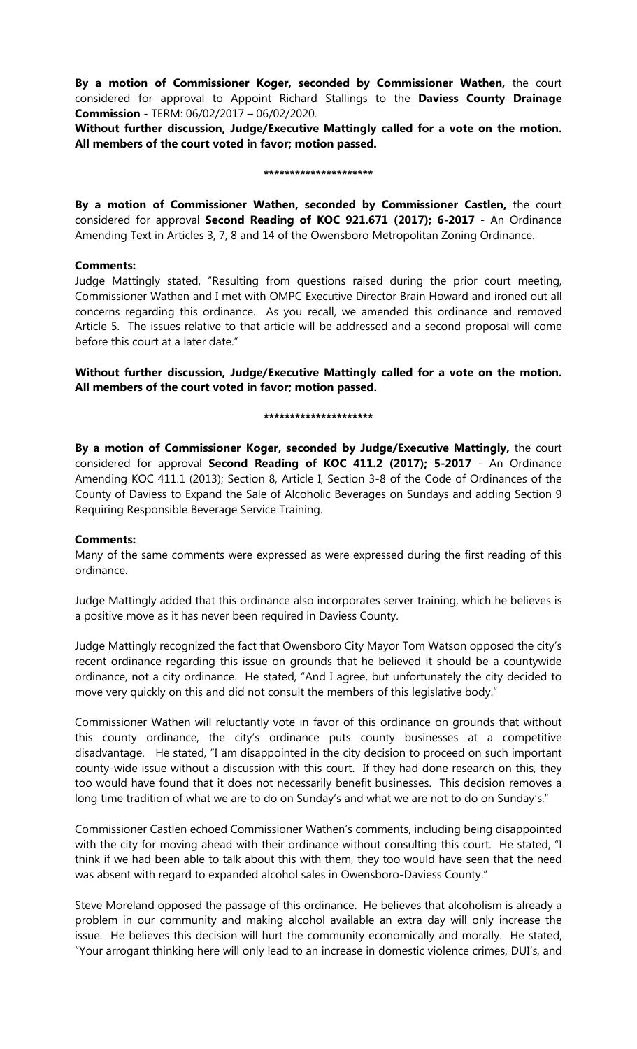**By a motion of Commissioner Koger, seconded by Commissioner Wathen,** the court considered for approval to Appoint Richard Stallings to the **Daviess County Drainage Commission** - TERM: 06/02/2017 – 06/02/2020.

**Without further discussion, Judge/Executive Mattingly called for a vote on the motion. All members of the court voted in favor; motion passed.** 

#### **\*\*\*\*\*\*\*\*\*\*\*\*\*\*\*\*\*\*\*\*\***

**By a motion of Commissioner Wathen, seconded by Commissioner Castlen,** the court considered for approval **Second Reading of KOC 921.671 (2017); 6-2017** - An Ordinance Amending Text in Articles 3, 7, 8 and 14 of the Owensboro Metropolitan Zoning Ordinance.

## **Comments:**

Judge Mattingly stated, "Resulting from questions raised during the prior court meeting, Commissioner Wathen and I met with OMPC Executive Director Brain Howard and ironed out all concerns regarding this ordinance. As you recall, we amended this ordinance and removed Article 5. The issues relative to that article will be addressed and a second proposal will come before this court at a later date."

**Without further discussion, Judge/Executive Mattingly called for a vote on the motion. All members of the court voted in favor; motion passed.** 

#### **\*\*\*\*\*\*\*\*\*\*\*\*\*\*\*\*\*\*\*\*\***

**By a motion of Commissioner Koger, seconded by Judge/Executive Mattingly,** the court considered for approval **Second Reading of KOC 411.2 (2017); 5-2017** - An Ordinance Amending KOC 411.1 (2013); Section 8, Article I, Section 3-8 of the Code of Ordinances of the County of Daviess to Expand the Sale of Alcoholic Beverages on Sundays and adding Section 9 Requiring Responsible Beverage Service Training.

## **Comments:**

Many of the same comments were expressed as were expressed during the first reading of this ordinance.

Judge Mattingly added that this ordinance also incorporates server training, which he believes is a positive move as it has never been required in Daviess County.

Judge Mattingly recognized the fact that Owensboro City Mayor Tom Watson opposed the city's recent ordinance regarding this issue on grounds that he believed it should be a countywide ordinance, not a city ordinance. He stated, "And I agree, but unfortunately the city decided to move very quickly on this and did not consult the members of this legislative body."

Commissioner Wathen will reluctantly vote in favor of this ordinance on grounds that without this county ordinance, the city's ordinance puts county businesses at a competitive disadvantage. He stated, "I am disappointed in the city decision to proceed on such important county-wide issue without a discussion with this court. If they had done research on this, they too would have found that it does not necessarily benefit businesses. This decision removes a long time tradition of what we are to do on Sunday's and what we are not to do on Sunday's."

Commissioner Castlen echoed Commissioner Wathen's comments, including being disappointed with the city for moving ahead with their ordinance without consulting this court. He stated, "I think if we had been able to talk about this with them, they too would have seen that the need was absent with regard to expanded alcohol sales in Owensboro-Daviess County."

Steve Moreland opposed the passage of this ordinance. He believes that alcoholism is already a problem in our community and making alcohol available an extra day will only increase the issue. He believes this decision will hurt the community economically and morally. He stated, "Your arrogant thinking here will only lead to an increase in domestic violence crimes, DUI's, and